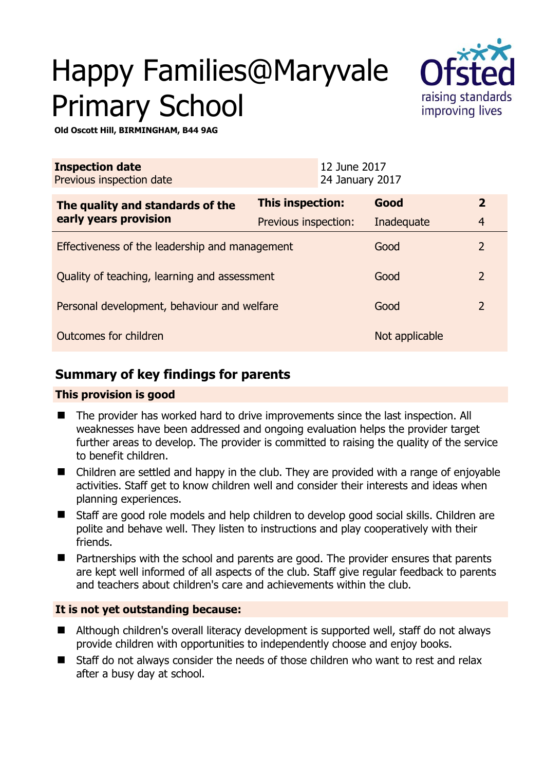# Happy Families@Maryvale Primary School



**Old Oscott Hill, BIRMINGHAM, B44 9AG** 

| <b>Inspection date</b><br>Previous inspection date        |                         | 12 June 2017<br>24 January 2017 |                |
|-----------------------------------------------------------|-------------------------|---------------------------------|----------------|
| The quality and standards of the<br>early years provision | <b>This inspection:</b> | Good                            | $\overline{2}$ |
|                                                           | Previous inspection:    | Inadequate                      | $\overline{4}$ |
| Effectiveness of the leadership and management            | Good                    | $\overline{2}$                  |                |
| Quality of teaching, learning and assessment              | Good                    | $\overline{2}$                  |                |
| Personal development, behaviour and welfare               | Good                    | $\overline{2}$                  |                |
| Outcomes for children                                     | Not applicable          |                                 |                |

# **Summary of key findings for parents**

### **This provision is good**

- The provider has worked hard to drive improvements since the last inspection. All weaknesses have been addressed and ongoing evaluation helps the provider target further areas to develop. The provider is committed to raising the quality of the service to benefit children.
- Children are settled and happy in the club. They are provided with a range of enjoyable activities. Staff get to know children well and consider their interests and ideas when planning experiences.
- Staff are good role models and help children to develop good social skills. Children are polite and behave well. They listen to instructions and play cooperatively with their friends.
- Partnerships with the school and parents are good. The provider ensures that parents are kept well informed of all aspects of the club. Staff give regular feedback to parents and teachers about children's care and achievements within the club.

## **It is not yet outstanding because:**

- Although children's overall literacy development is supported well, staff do not always provide children with opportunities to independently choose and enjoy books.
- Staff do not always consider the needs of those children who want to rest and relax after a busy day at school.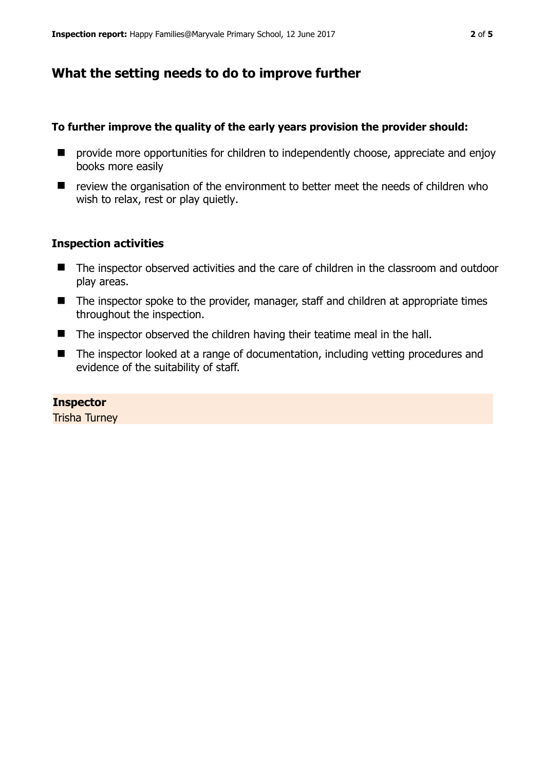# **What the setting needs to do to improve further**

#### **To further improve the quality of the early years provision the provider should:**

- **E** provide more opportunities for children to independently choose, appreciate and enjoy books more easily
- $\blacksquare$  review the organisation of the environment to better meet the needs of children who wish to relax, rest or play quietly.

#### **Inspection activities**

- The inspector observed activities and the care of children in the classroom and outdoor play areas.
- The inspector spoke to the provider, manager, staff and children at appropriate times throughout the inspection.
- The inspector observed the children having their teatime meal in the hall.
- The inspector looked at a range of documentation, including vetting procedures and evidence of the suitability of staff.

#### **Inspector**

Trisha Turney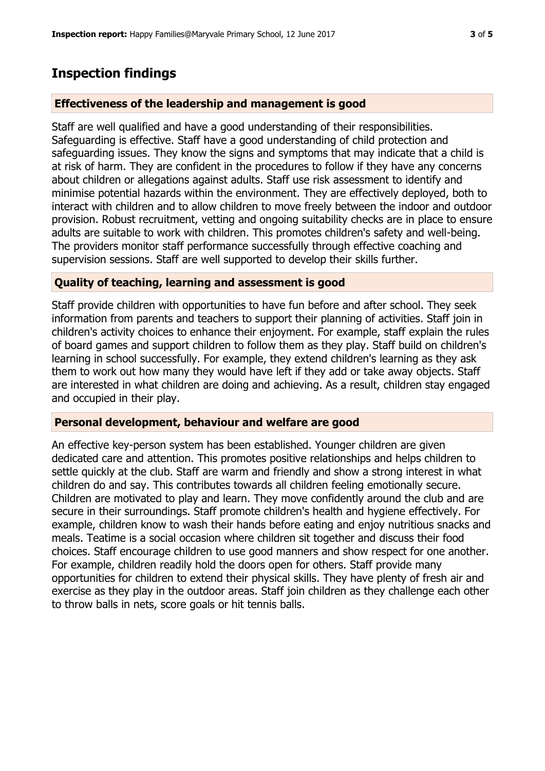## **Inspection findings**

#### **Effectiveness of the leadership and management is good**

Staff are well qualified and have a good understanding of their responsibilities. Safeguarding is effective. Staff have a good understanding of child protection and safeguarding issues. They know the signs and symptoms that may indicate that a child is at risk of harm. They are confident in the procedures to follow if they have any concerns about children or allegations against adults. Staff use risk assessment to identify and minimise potential hazards within the environment. They are effectively deployed, both to interact with children and to allow children to move freely between the indoor and outdoor provision. Robust recruitment, vetting and ongoing suitability checks are in place to ensure adults are suitable to work with children. This promotes children's safety and well-being. The providers monitor staff performance successfully through effective coaching and supervision sessions. Staff are well supported to develop their skills further.

#### **Quality of teaching, learning and assessment is good**

Staff provide children with opportunities to have fun before and after school. They seek information from parents and teachers to support their planning of activities. Staff join in children's activity choices to enhance their enjoyment. For example, staff explain the rules of board games and support children to follow them as they play. Staff build on children's learning in school successfully. For example, they extend children's learning as they ask them to work out how many they would have left if they add or take away objects. Staff are interested in what children are doing and achieving. As a result, children stay engaged and occupied in their play.

#### **Personal development, behaviour and welfare are good**

An effective key-person system has been established. Younger children are given dedicated care and attention. This promotes positive relationships and helps children to settle quickly at the club. Staff are warm and friendly and show a strong interest in what children do and say. This contributes towards all children feeling emotionally secure. Children are motivated to play and learn. They move confidently around the club and are secure in their surroundings. Staff promote children's health and hygiene effectively. For example, children know to wash their hands before eating and enjoy nutritious snacks and meals. Teatime is a social occasion where children sit together and discuss their food choices. Staff encourage children to use good manners and show respect for one another. For example, children readily hold the doors open for others. Staff provide many opportunities for children to extend their physical skills. They have plenty of fresh air and exercise as they play in the outdoor areas. Staff join children as they challenge each other to throw balls in nets, score goals or hit tennis balls.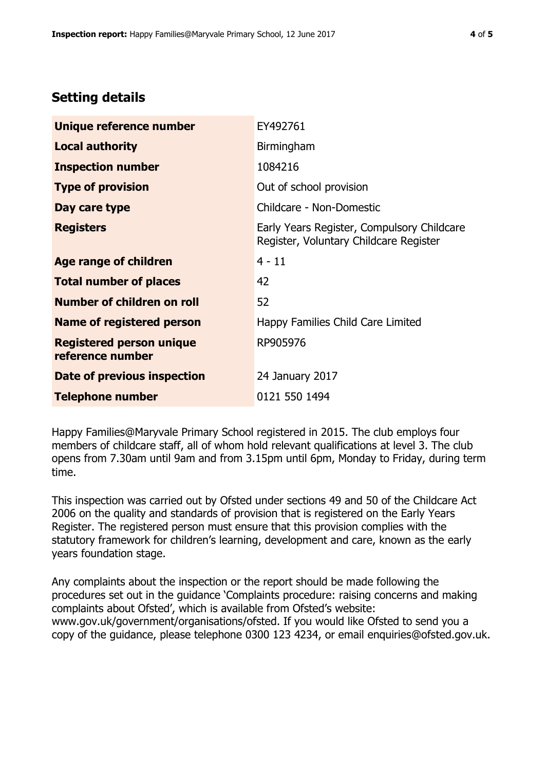# **Setting details**

| Unique reference number                             | EY492761                                                                             |  |
|-----------------------------------------------------|--------------------------------------------------------------------------------------|--|
| <b>Local authority</b>                              | Birmingham                                                                           |  |
| <b>Inspection number</b>                            | 1084216                                                                              |  |
| <b>Type of provision</b>                            | Out of school provision                                                              |  |
| Day care type                                       | Childcare - Non-Domestic                                                             |  |
| <b>Registers</b>                                    | Early Years Register, Compulsory Childcare<br>Register, Voluntary Childcare Register |  |
| Age range of children                               | $4 - 11$                                                                             |  |
| <b>Total number of places</b>                       | 42                                                                                   |  |
| Number of children on roll                          | 52                                                                                   |  |
| Name of registered person                           | Happy Families Child Care Limited                                                    |  |
| <b>Registered person unique</b><br>reference number | RP905976                                                                             |  |
| Date of previous inspection                         | 24 January 2017                                                                      |  |
| <b>Telephone number</b>                             | 0121 550 1494                                                                        |  |

Happy Families@Maryvale Primary School registered in 2015. The club employs four members of childcare staff, all of whom hold relevant qualifications at level 3. The club opens from 7.30am until 9am and from 3.15pm until 6pm, Monday to Friday, during term time.

This inspection was carried out by Ofsted under sections 49 and 50 of the Childcare Act 2006 on the quality and standards of provision that is registered on the Early Years Register. The registered person must ensure that this provision complies with the statutory framework for children's learning, development and care, known as the early years foundation stage.

Any complaints about the inspection or the report should be made following the procedures set out in the guidance 'Complaints procedure: raising concerns and making complaints about Ofsted', which is available from Ofsted's website: www.gov.uk/government/organisations/ofsted. If you would like Ofsted to send you a copy of the guidance, please telephone 0300 123 4234, or email enquiries@ofsted.gov.uk.